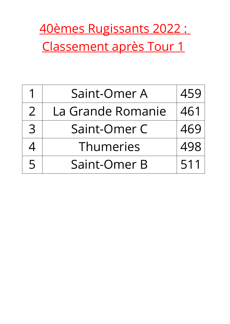## 40èmes Rugissants 2022 : Classement après Tour 1

|                | Saint-Omer A      | 459 |
|----------------|-------------------|-----|
| $\overline{2}$ | La Grande Romanie | 461 |
| $\mathcal{B}$  | Saint-Omer C      | 469 |
| <u>/</u>       | Thumeries         | 498 |
| 5              | Saint-Omer B      | 511 |